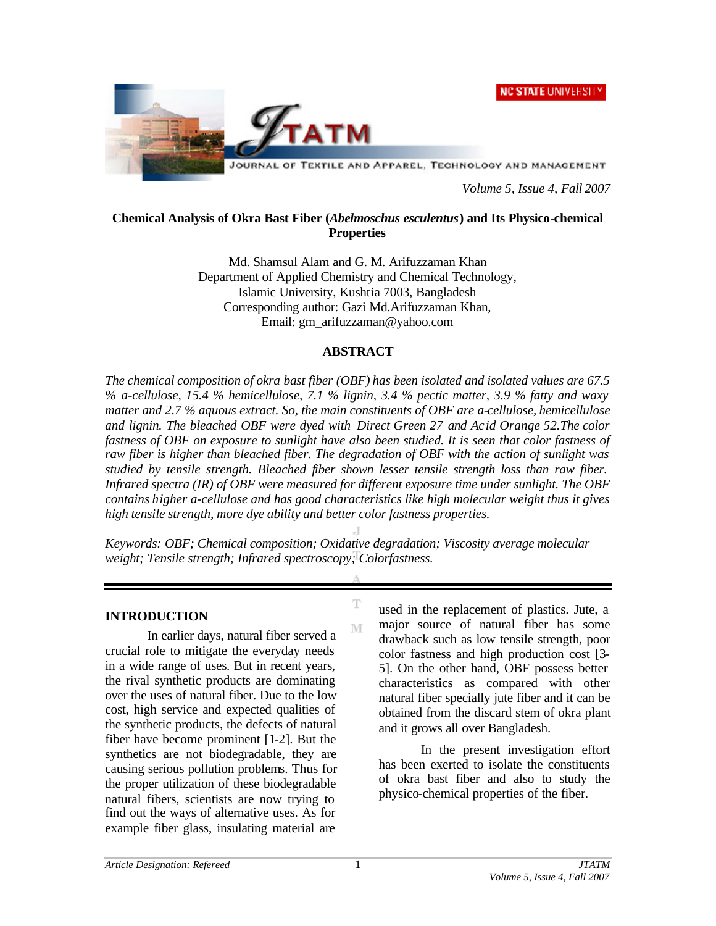**NC STATE UNIVERSITY** 



JOURNAL OF TEXTILE AND APPAREL, TECHNOLOGY AND MANAGEMENT

*Volume 5, Issue 4, Fall 2007*

### **Chemical Analysis of Okra Bast Fiber (***Abelmoschus esculentus***) and Its Physico-chemical Properties**

Md. Shamsul Alam and G. M. Arifuzzaman Khan Department of Applied Chemistry and Chemical Technology, Islamic University, Kushtia 7003, Bangladesh Corresponding author: Gazi Md.Arifuzzaman Khan, Email: gm\_arifuzzaman@yahoo.com

## **ABSTRACT**

*The chemical composition of okra bast fiber (OBF) has been isolated and isolated values are 67.5 % a-cellulose, 15.4 % hemicellulose, 7.1 % lignin, 3.4 % pectic matter, 3.9 % fatty and waxy matter and 2.7 % aquous extract. So, the main constituents of OBF are a-cellulose, hemicellulose and lignin. The bleached OBF were dyed with Direct Green 27 and Acid Orange 52.The color fastness of OBF on exposure to sunlight have also been studied. It is seen that color fastness of raw fiber is higher than bleached fiber. The degradation of OBF with the action of sunlight was studied by tensile strength. Bleached fiber shown lesser tensile strength loss than raw fiber. Infrared spectra (IR) of OBF were measured for different exposure time under sunlight. The OBF contains higher a-cellulose and has good characteristics like high molecular weight thus it gives high tensile strength, more dye ability and better color fastness properties.* 

*Keywords: OBF; Chemical composition; Oxidative degradation; Viscosity average molecular weight; Tensile strength; Infrared spectroscopy; Colorfastness.*

T

 $\mathbb{M}$ 

#### **INTRODUCTION**

In earlier days, natural fiber served a crucial role to mitigate the everyday needs in a wide range of uses. But in recent years, the rival synthetic products are dominating over the uses of natural fiber. Due to the low cost, high service and expected qualities of the synthetic products, the defects of natural fiber have become prominent [1-2]. But the synthetics are not biodegradable, they are causing serious pollution problems. Thus for the proper utilization of these biodegradable natural fibers, scientists are now trying to find out the ways of alternative uses. As for example fiber glass, insulating material are

used in the replacement of plastics. Jute, a major source of natural fiber has some drawback such as low tensile strength, poor color fastness and high production cost [3- 5]. On the other hand, OBF possess better characteristics as compared with other natural fiber specially jute fiber and it can be obtained from the discard stem of okra plant and it grows all over Bangladesh.

In the present investigation effort has been exerted to isolate the constituents of okra bast fiber and also to study the physico-chemical properties of the fiber.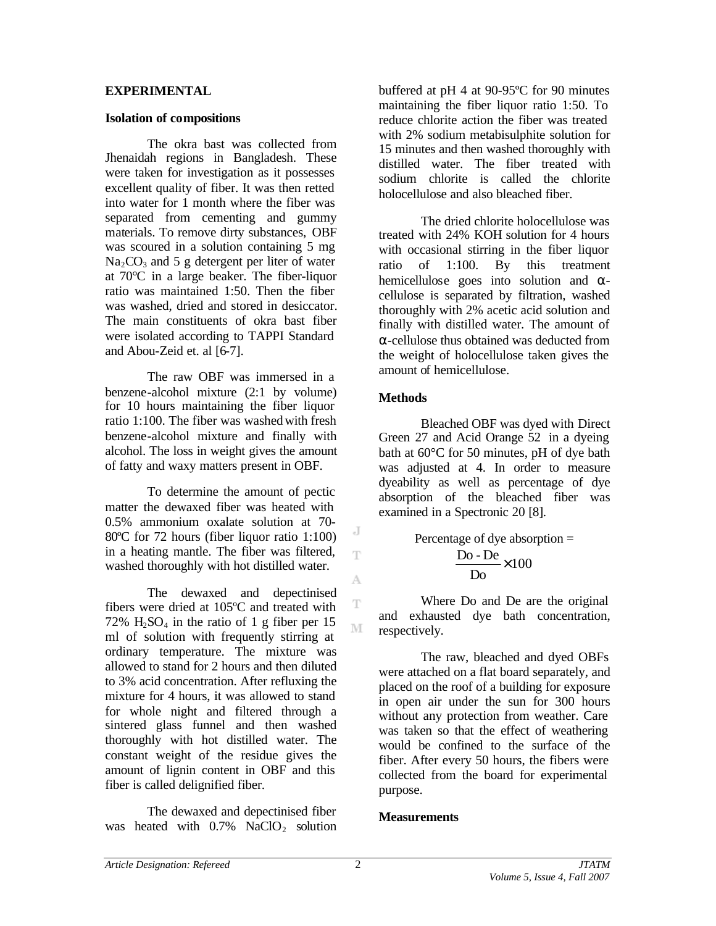### **EXPERIMENTAL**

### **Isolation of compositions**

The okra bast was collected from Jhenaidah regions in Bangladesh. These were taken for investigation as it possesses excellent quality of fiber. It was then retted into water for 1 month where the fiber was separated from cementing and gummy materials. To remove dirty substances, OBF was scoured in a solution containing 5 mg  $Na<sub>2</sub>CO<sub>3</sub>$  and 5 g detergent per liter of water at 70°C in a large beaker. The fiber-liquor ratio was maintained 1:50. Then the fiber was washed, dried and stored in desiccator. The main constituents of okra bast fiber were isolated according to TAPPI Standard and Abou-Zeid et. al [6-7].

The raw OBF was immersed in a benzene-alcohol mixture (2:1 by volume) for 10 hours maintaining the fiber liquor ratio 1:100. The fiber was washed with fresh benzene-alcohol mixture and finally with alcohol. The loss in weight gives the amount of fatty and waxy matters present in OBF.

To determine the amount of pectic matter the dewaxed fiber was heated with 0.5% ammonium oxalate solution at 70- 80°C for 72 hours (fiber liquor ratio 1:100) in a heating mantle. The fiber was filtered, washed thoroughly with hot distilled water.

The dewaxed and depectinised fibers were dried at 105ºC and treated with 72%  $H_2SO_4$  in the ratio of 1 g fiber per 15 ml of solution with frequently stirring at ordinary temperature. The mixture was allowed to stand for 2 hours and then diluted to 3% acid concentration. After refluxing the mixture for 4 hours, it was allowed to stand for whole night and filtered through a sintered glass funnel and then washed thoroughly with hot distilled water. The constant weight of the residue gives the amount of lignin content in OBF and this fiber is called delignified fiber.

The dewaxed and depectinised fiber was heated with  $0.7\%$  NaClO<sub>2</sub> solution buffered at pH 4 at 90-95ºC for 90 minutes maintaining the fiber liquor ratio 1:50. To reduce chlorite action the fiber was treated with 2% sodium metabisulphite solution for 15 minutes and then washed thoroughly with distilled water. The fiber treated with sodium chlorite is called the chlorite holocellulose and also bleached fiber.

The dried chlorite holocellulose was treated with 24% KOH solution for 4 hours with occasional stirring in the fiber liquor ratio of 1:100. By this treatment hemicellulose goes into solution and αcellulose is separated by filtration, washed thoroughly with 2% acetic acid solution and finally with distilled water. The amount of α-cellulose thus obtained was deducted from the weight of holocellulose taken gives the amount of hemicellulose.

# **Methods**

Bleached OBF was dyed with Direct Green 27 and Acid Orange 52 in a dyeing bath at 60°C for 50 minutes, pH of dye bath was adjusted at 4. In order to measure dyeability as well as percentage of dye absorption of the bleached fiber was examined in a Spectronic 20 [8].

Percentage of dye absorption = 
$$
\frac{Do - De}{Do} \times 100
$$

Where Do and De are the original and exhausted dye bath concentration, respectively.

The raw, bleached and dyed OBFs were attached on a flat board separately, and placed on the roof of a building for exposure in open air under the sun for 300 hours without any protection from weather. Care was taken so that the effect of weathering would be confined to the surface of the fiber. After every 50 hours, the fibers were collected from the board for experimental purpose.

## **Measurements**

J Ŧ

A

T

M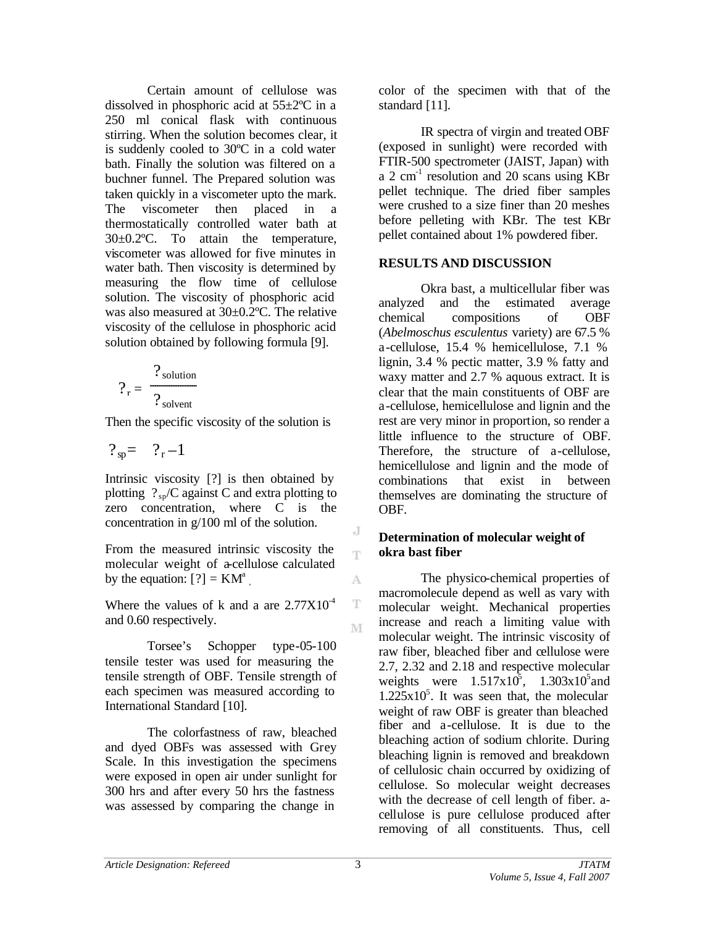Certain amount of cellulose was dissolved in phosphoric acid at 55±2ºC in a 250 ml conical flask with continuous stirring. When the solution becomes clear, it is suddenly cooled to 30ºC in a cold water bath. Finally the solution was filtered on a buchner funnel. The Prepared solution was taken quickly in a viscometer upto the mark. The viscometer then placed in a thermostatically controlled water bath at 30±0.2ºC. To attain the temperature, viscometer was allowed for five minutes in water bath. Then viscosity is determined by measuring the flow time of cellulose solution. The viscosity of phosphoric acid was also measured at 30±0.2ºC. The relative viscosity of the cellulose in phosphoric acid solution obtained by following formula [9].

$$
?_{r} = \frac{?_{\text{solution}}}{?_{\text{solvent}}}
$$

Then the specific viscosity of the solution is

$$
?_{sp} = ?_{r} - 1
$$

Intrinsic viscosity [?] is then obtained by plotting  $?_{\text{sp}}/C$  against C and extra plotting to zero concentration, where C is the concentration in g/100 ml of the solution.

From the measured intrinsic viscosity the molecular weight of a-cellulose calculated by the equation:  $[?) = KM^a$ ,

Where the values of k and a are  $2.77X10^{-4}$ and 0.60 respectively.

Torsee's Schopper type-05-100 tensile tester was used for measuring the tensile strength of OBF. Tensile strength of each specimen was measured according to International Standard [10].

The colorfastness of raw, bleached and dyed OBFs was assessed with Grey Scale. In this investigation the specimens were exposed in open air under sunlight for 300 hrs and after every 50 hrs the fastness was assessed by comparing the change in

color of the specimen with that of the standard [11].

IR spectra of virgin and treated OBF (exposed in sunlight) were recorded with FTIR-500 spectrometer (JAIST, Japan) with a 2 cm<sup>-1</sup> resolution and 20 scans using KBr pellet technique. The dried fiber samples were crushed to a size finer than 20 meshes before pelleting with KBr. The test KBr pellet contained about 1% powdered fiber.

# **RESULTS AND DISCUSSION**

Okra bast, a multicellular fiber was analyzed and the estimated average chemical compositions of OBF (*Abelmoschus esculentus* variety) are 67.5 % a-cellulose, 15.4 % hemicellulose, 7.1 % lignin, 3.4 % pectic matter, 3.9 % fatty and waxy matter and 2.7 % aquous extract. It is clear that the main constituents of OBF are a-cellulose, hemicellulose and lignin and the rest are very minor in proportion, so render a little influence to the structure of OBF. Therefore, the structure of a-cellulose, hemicellulose and lignin and the mode of combinations that exist in between themselves are dominating the structure of OBF.

## **Determination of molecular weight of okra bast fiber**

The physico-chemical properties of macromolecule depend as well as vary with molecular weight. Mechanical properties increase and reach a limiting value with molecular weight. The intrinsic viscosity of raw fiber, bleached fiber and cellulose were 2.7, 2.32 and 2.18 and respective molecular weights were  $1.517 \times 10^5$ ,  $1.303 \times 10^5$  and  $1.225 \times 10^5$ . It was seen that, the molecular weight of raw OBF is greater than bleached fiber and a-cellulose. It is due to the bleaching action of sodium chlorite. During bleaching lignin is removed and breakdown of cellulosic chain occurred by oxidizing of cellulose. So molecular weight decreases with the decrease of cell length of fiber. acellulose is pure cellulose produced after removing of all constituents. Thus, cell

J T

A

T

M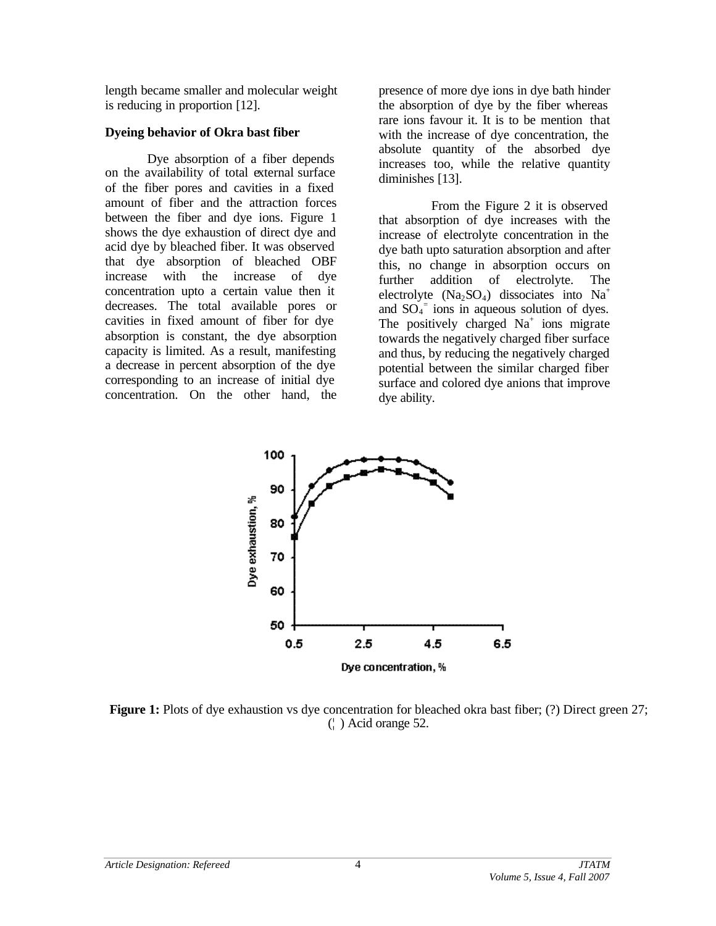length became smaller and molecular weight is reducing in proportion [12].

## **Dyeing behavior of Okra bast fiber**

Dye absorption of a fiber depends on the availability of total external surface of the fiber pores and cavities in a fixed amount of fiber and the attraction forces between the fiber and dye ions. Figure 1 shows the dye exhaustion of direct dye and acid dye by bleached fiber. It was observed that dye absorption of bleached OBF increase with the increase of dye concentration upto a certain value then it decreases. The total available pores or cavities in fixed amount of fiber for dye absorption is constant, the dye absorption capacity is limited. As a result, manifesting a decrease in percent absorption of the dye corresponding to an increase of initial dye concentration. On the other hand, the

presence of more dye ions in dye bath hinder the absorption of dye by the fiber whereas rare ions favour it. It is to be mention that with the increase of dye concentration, the absolute quantity of the absorbed dye increases too, while the relative quantity diminishes [13].

From the Figure 2 it is observed that absorption of dye increases with the increase of electrolyte concentration in the dye bath upto saturation absorption and after this, no change in absorption occurs on further addition of electrolyte. The electrolyte  $(Na_2SO_4)$  dissociates into Na<sup>+</sup> and  $SO_4$ <sup>=</sup> ions in aqueous solution of dyes. The positively charged  $Na<sup>+</sup>$  ions migrate towards the negatively charged fiber surface and thus, by reducing the negatively charged potential between the similar charged fiber surface and colored dye anions that improve dye ability.



**Figure 1:** Plots of dye exhaustion vs dye concentration for bleached okra bast fiber; (?) Direct green 27; (¦ ) Acid orange 52.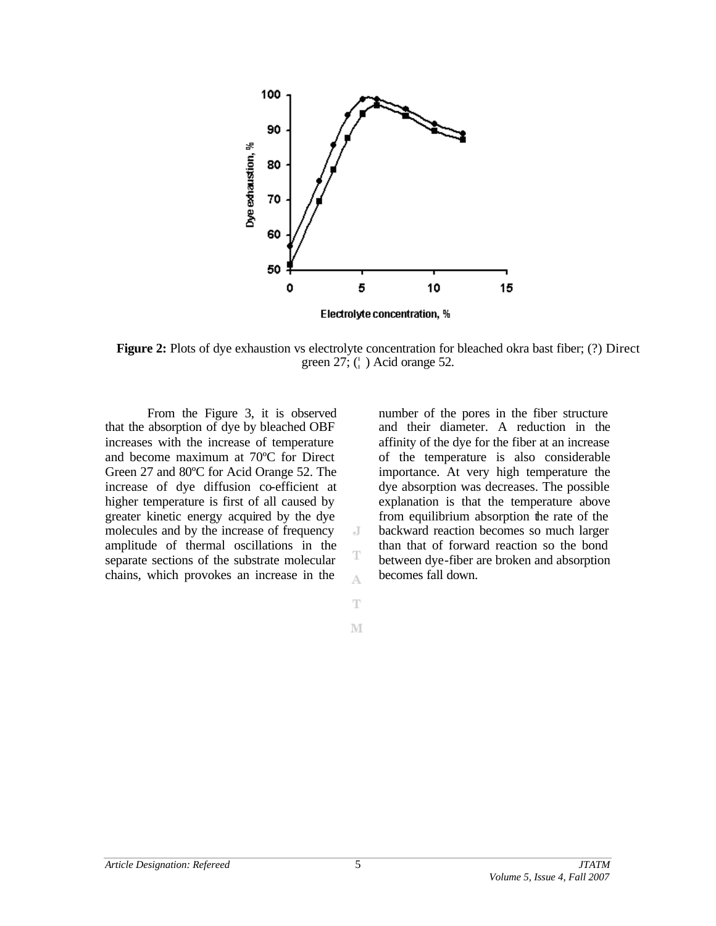

**Figure 2:** Plots of dye exhaustion vs electrolyte concentration for bleached okra bast fiber; (?) Direct green  $27$ ; ( $\dagger$ ) Acid orange 52.

J

T A

T

M

From the Figure 3, it is observed that the absorption of dye by bleached OBF increases with the increase of temperature and become maximum at 70ºC for Direct Green 27 and 80ºC for Acid Orange 52. The increase of dye diffusion co-efficient at higher temperature is first of all caused by greater kinetic energy acquired by the dye molecules and by the increase of frequency amplitude of thermal oscillations in the separate sections of the substrate molecular chains, which provokes an increase in the

number of the pores in the fiber structure and their diameter. A reduction in the affinity of the dye for the fiber at an increase of the temperature is also considerable importance. At very high temperature the dye absorption was decreases. The possible explanation is that the temperature above from equilibrium absorption the rate of the backward reaction becomes so much larger than that of forward reaction so the bond between dye-fiber are broken and absorption becomes fall down.

5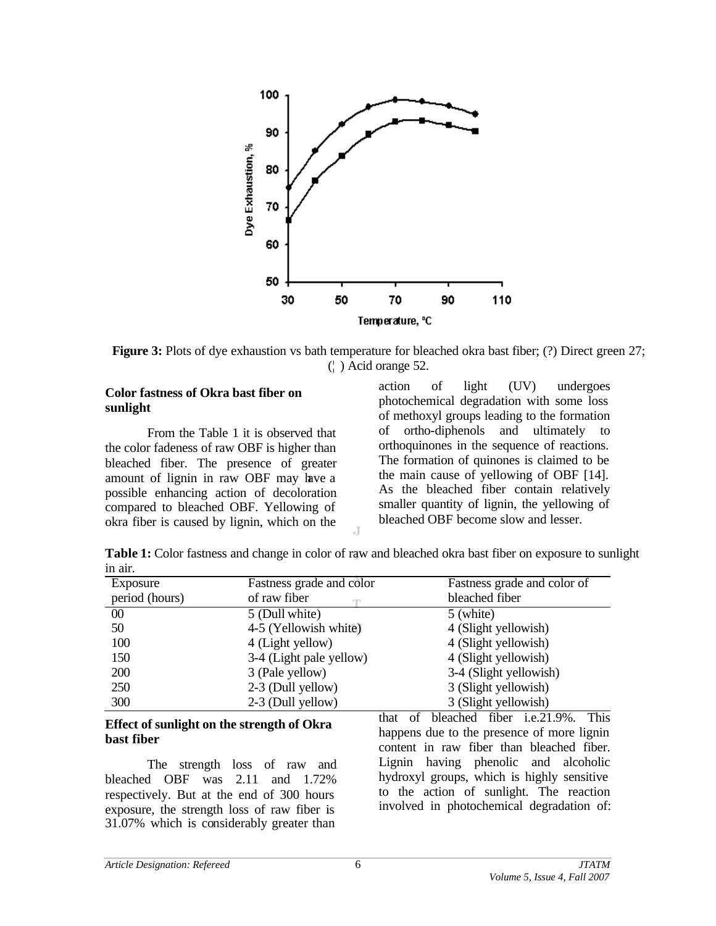

**Figure 3:** Plots of dye exhaustion vs bath temperature for bleached okra bast fiber; (?) Direct green 27; (¦ ) Acid orange 52.

#### **Color fastness of Okra bast fiber on sunlight**

From the Table 1 it is observed that the color fadeness of raw OBF is higher than bleached fiber. The presence of greater amount of lignin in raw OBF may have a possible enhancing action of decoloration compared to bleached OBF. Yellowing of okra fiber is caused by lignin, which on the

action of light (UV) undergoes photochemical degradation with some loss of methoxyl groups leading to the formation of ortho-diphenols and ultimately to orthoquinones in the sequence of reactions. The formation of quinones is claimed to be the main cause of yellowing of OBF [14]. As the bleached fiber contain relatively smaller quantity of lignin, the yellowing of bleached OBF become slow and lesser.

**Table 1:** Color fastness and change in color of raw and bleached okra bast fiber on exposure to sunlight in air.

 $\overline{A}$ 

| Exposure       | Fastness grade and color | Fastness grade and color of |
|----------------|--------------------------|-----------------------------|
| period (hours) | of raw fiber             | bleached fiber              |
| $00\,$         | 5 (Dull white)           | 5 (white)                   |
| 50             | 4-5 (Yellowish white)    | 4 (Slight yellowish)        |
| 100            | 4 (Light yellow)         | 4 (Slight yellowish)        |
| 150            | 3-4 (Light pale yellow)  | 4 (Slight yellowish)        |
| <b>200</b>     | 3 (Pale yellow)          | 3-4 (Slight yellowish)      |
| 250            | 2-3 (Dull yellow)        | 3 (Slight yellowish)        |
| 300            | 2-3 (Dull yellow)        | 3 (Slight yellowish)        |

#### **Effect of sunlight on the strength of Okra bast fiber**

The strength loss of raw and bleached OBF was 2.11 and 1.72% respectively. But at the end of 300 hours exposure, the strength loss of raw fiber is 31.07% which is considerably greater than

that of bleached fiber i.e.21.9%. This happens due to the presence of more lignin content in raw fiber than bleached fiber. Lignin having phenolic and alcoholic hydroxyl groups, which is highly sensitive to the action of sunlight. The reaction involved in photochemical degradation of: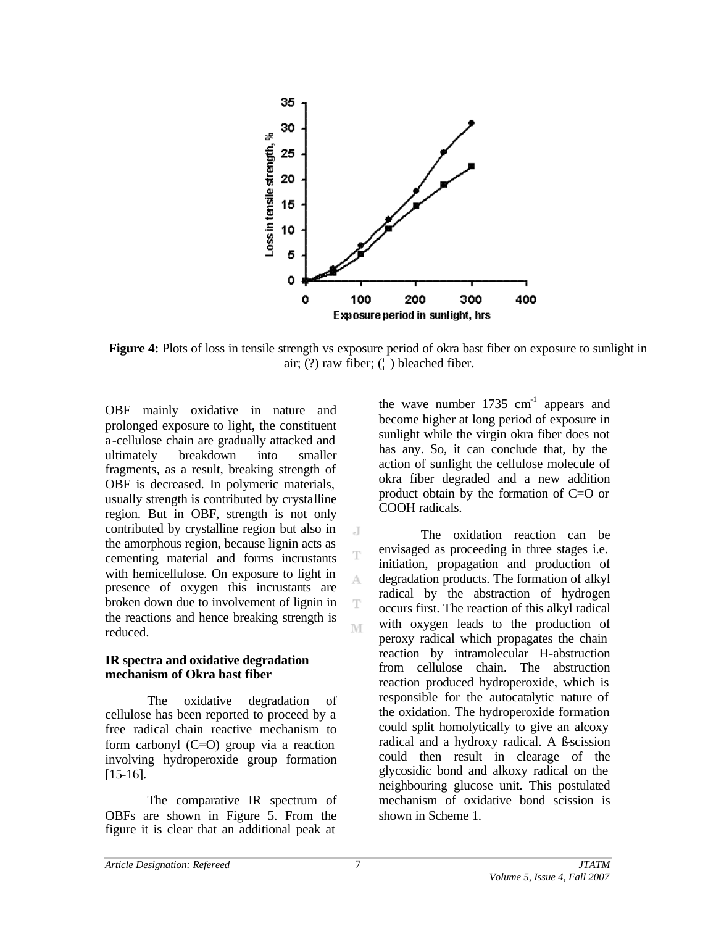

**Figure 4:** Plots of loss in tensile strength vs exposure period of okra bast fiber on exposure to sunlight in air;  $(?)$  raw fiber;  $()$  bleached fiber.

 $\cdot$ T

T

A

T M

OBF mainly oxidative in nature and prolonged exposure to light, the constituent a-cellulose chain are gradually attacked and ultimately breakdown into smaller fragments, as a result, breaking strength of OBF is decreased. In polymeric materials, usually strength is contributed by crystalline region. But in OBF, strength is not only contributed by crystalline region but also in the amorphous region, because lignin acts as cementing material and forms incrustants with hemicellulose. On exposure to light in presence of oxygen this incrustants are broken down due to involvement of lignin in the reactions and hence breaking strength is reduced.

#### **IR spectra and oxidative degradation mechanism of Okra bast fiber**

The oxidative degradation of cellulose has been reported to proceed by a free radical chain reactive mechanism to form carbonyl  $(C=O)$  group via a reaction involving hydroperoxide group formation [15-16].

The comparative IR spectrum of OBFs are shown in Figure 5. From the figure it is clear that an additional peak at

the wave number  $1735 \text{ cm}^{-1}$  appears and become higher at long period of exposure in sunlight while the virgin okra fiber does not has any. So, it can conclude that, by the action of sunlight the cellulose molecule of okra fiber degraded and a new addition product obtain by the formation of C=O or COOH radicals.

The oxidation reaction can be envisaged as proceeding in three stages i.e. initiation, propagation and production of degradation products. The formation of alkyl radical by the abstraction of hydrogen occurs first. The reaction of this alkyl radical with oxygen leads to the production of peroxy radical which propagates the chain reaction by intramolecular H-abstruction from cellulose chain. The abstruction reaction produced hydroperoxide, which is responsible for the autocatalytic nature of the oxidation. The hydroperoxide formation could split homolytically to give an alcoxy radical and a hydroxy radical. A ß-scission could then result in clearage of the glycosidic bond and alkoxy radical on the neighbouring glucose unit. This postulated mechanism of oxidative bond scission is shown in Scheme 1.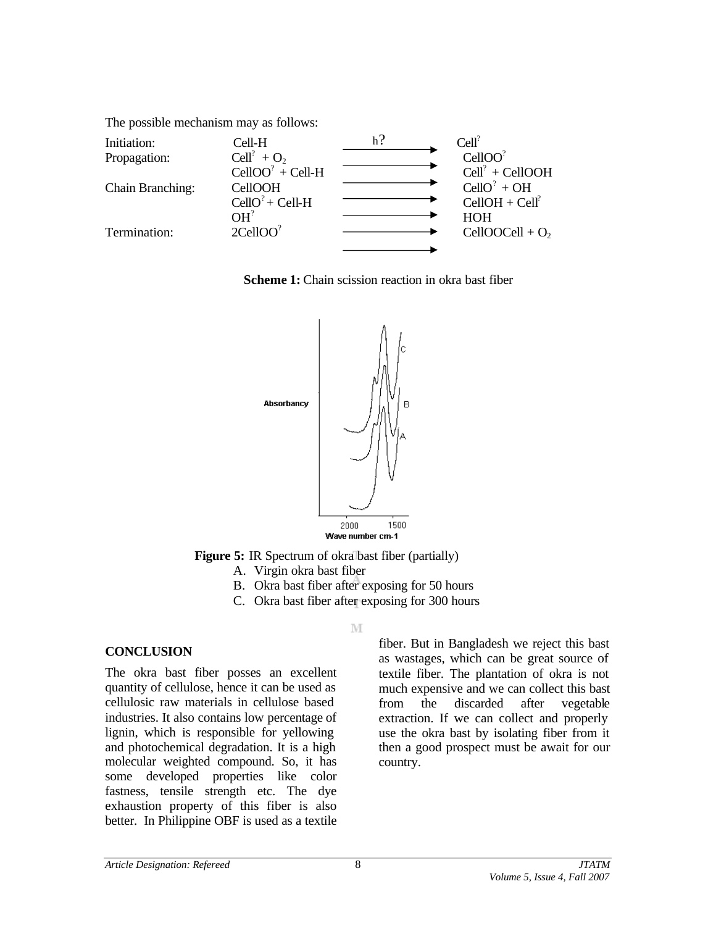The possible mechanism may as follows:

| Initiation:             | Cell-H             | $Cell$ <sup>?</sup> |
|-------------------------|--------------------|---------------------|
| Propagation:            | $Cell? + O2$       | CellOO <sup>?</sup> |
|                         | $CellOO? + Cell-H$ | $Cell? + CellOOH$   |
| <b>Chain Branching:</b> | <b>CellOOH</b>     | $CellO? + OH$       |
|                         | $CellO7 + Cell-H$  | $CellOH + Cell?$    |
|                         | OH <sup>2</sup>    | <b>HOH</b>          |
| Termination:            | $2$ CellOO $^?$    | CellOOCell + $O_2$  |
|                         |                    |                     |

**Scheme 1:** Chain scission reaction in okra bast fiber



**Figure 5:** IR Spectrum of okra bast fiber (partially)

- A. Virgin okra bast fiber
- B. Okra bast fiber after exposing for 50 hours
- C. Okra bast fiber after exposing for 300 hours

M

## **CONCLUSION**

The okra bast fiber posses an excellent quantity of cellulose, hence it can be used as cellulosic raw materials in cellulose based industries. It also contains low percentage of lignin, which is responsible for yellowing and photochemical degradation. It is a high molecular weighted compound. So, it has some developed properties like color fastness, tensile strength etc. The dye exhaustion property of this fiber is also better. In Philippine OBF is used as a textile

fiber. But in Bangladesh we reject this bast as wastages, which can be great source of textile fiber. The plantation of okra is not much expensive and we can collect this bast from the discarded after vegetable extraction. If we can collect and properly use the okra bast by isolating fiber from it then a good prospect must be await for our country.